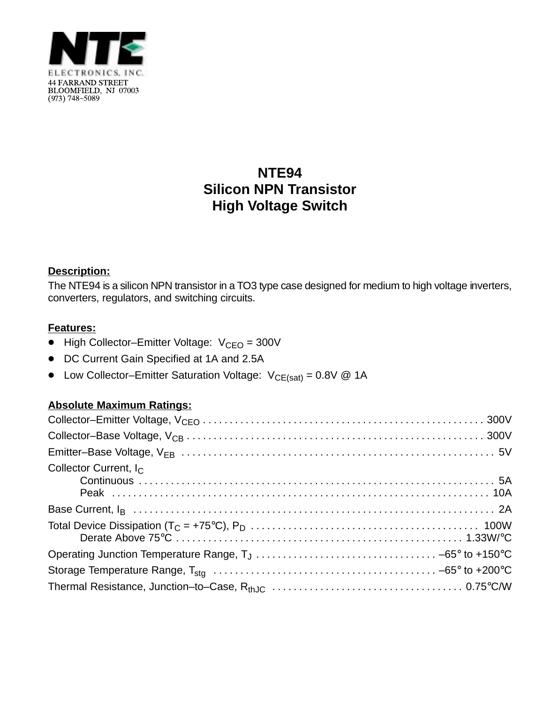

# **NTE94 Silicon NPN Transistor High Voltage Switch**

### **Description:**

The NTE94 is a silicon NPN transistor in a TO3 type case designed for medium to high voltage inverters, converters, regulators, and switching circuits.

### **Features:**

- $\bullet$  High Collector–Emitter Voltage:  $V_{\text{CEO}} = 300V$
- DC Current Gain Specified at 1A and 2.5A
- Low Collector–Emitter Saturation Voltage:  $V_{CE(sat)} = 0.8V \ @ \ 1A$

## **Absolute Maximum Ratings:**

| Collector Current, $I_C$ |  |
|--------------------------|--|
|                          |  |
|                          |  |
|                          |  |
|                          |  |
|                          |  |